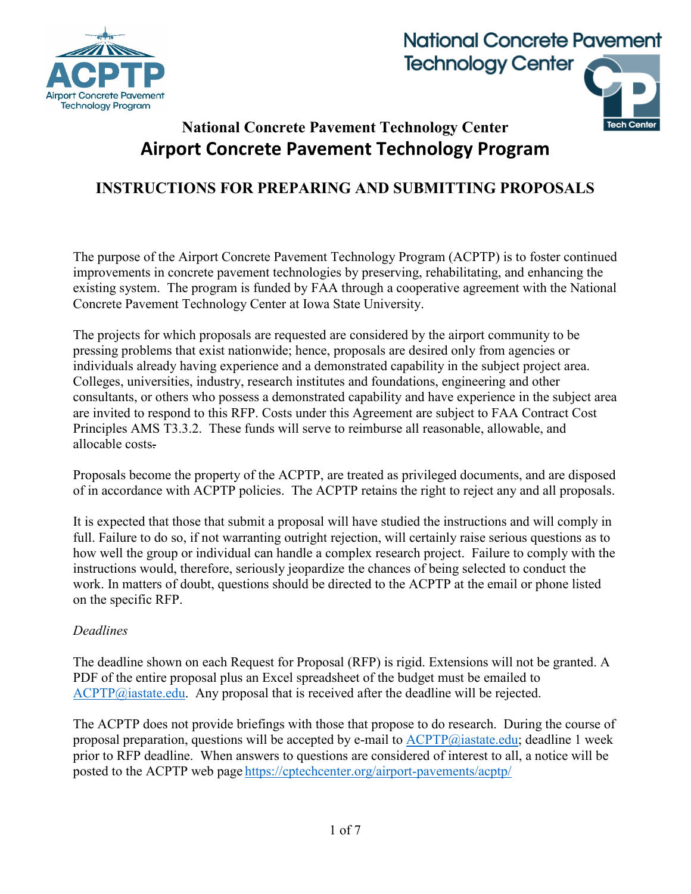





## **National Concrete Pavement Technology Center Airport Concrete Pavement Technology Program**

### **INSTRUCTIONS FOR PREPARING AND SUBMITTING PROPOSALS**

The purpose of the Airport Concrete Pavement Technology Program (ACPTP) is to foster continued improvements in concrete pavement technologies by preserving, rehabilitating, and enhancing the existing system. The program is funded by FAA through a cooperative agreement with the National Concrete Pavement Technology Center at Iowa State University.

The projects for which proposals are requested are considered by the airport community to be pressing problems that exist nationwide; hence, proposals are desired only from agencies or individuals already having experience and a demonstrated capability in the subject project area. Colleges, universities, industry, research institutes and foundations, engineering and other consultants, or others who possess a demonstrated capability and have experience in the subject area are invited to respond to this RFP. Costs under this Agreement are subject to FAA Contract Cost Principles AMS T3.3.2. These funds will serve to reimburse all reasonable, allowable, and allocable costs.

Proposals become the property of the ACPTP, are treated as privileged documents, and are disposed of in accordance with ACPTP policies. The ACPTP retains the right to reject any and all proposals.

It is expected that those that submit a proposal will have studied the instructions and will comply in full. Failure to do so, if not warranting outright rejection, will certainly raise serious questions as to how well the group or individual can handle a complex research project. Failure to comply with the instructions would, therefore, seriously jeopardize the chances of being selected to conduct the work. In matters of doubt, questions should be directed to the ACPTP at the email or phone listed on the specific RFP.

#### *Deadlines*

The deadline shown on each Request for Proposal (RFP) is rigid. Extensions will not be granted. A PDF of the entire proposal plus an Excel spreadsheet of the budget must be emailed to [ACPTP@iastate.edu.](mailto:ACPTP@iastate.edu) Any proposal that is received after the deadline will be rejected.

The ACPTP does not provide briefings with those that propose to do research. During the course of proposal preparation, questions will be accepted by e-mail to  $\text{ACPTP}(a)$  iastate.edu; deadline 1 week prior to RFP deadline. When answers to questions are considered of interest to all, a notice will be posted to the ACPTP web page <https://cptechcenter.org/airport-pavements/acptp/>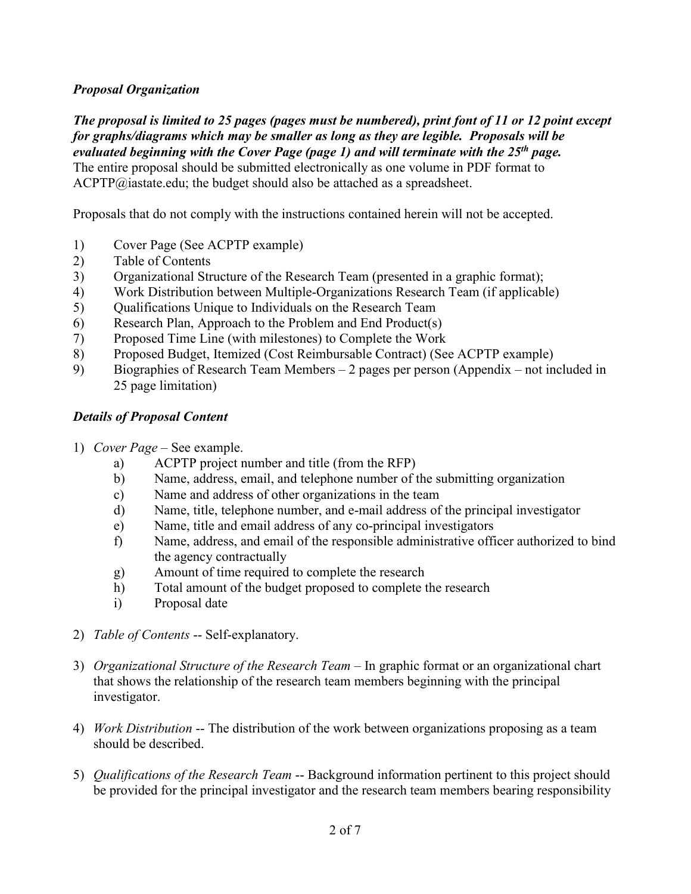#### *Proposal Organization*

*The proposal is limited to 25 pages (pages must be numbered), print font of 11 or 12 point except for graphs/diagrams which may be smaller as long as they are legible. Proposals will be evaluated beginning with the Cover Page (page 1) and will terminate with the 25th page.* The entire proposal should be submitted electronically as one volume in PDF format to

 $ACPTP@iastate.edu;$  the budget should also be attached as a spreadsheet.

Proposals that do not comply with the instructions contained herein will not be accepted.

- 1) Cover Page (See ACPTP example)
- 2) Table of Contents
- 3) Organizational Structure of the Research Team (presented in a graphic format);
- 4) Work Distribution between Multiple-Organizations Research Team (if applicable)
- 5) Qualifications Unique to Individuals on the Research Team
- 6) Research Plan, Approach to the Problem and End Product(s)
- 7) Proposed Time Line (with milestones) to Complete the Work
- 8) Proposed Budget, Itemized (Cost Reimbursable Contract) (See ACPTP example)
- 9) Biographies of Research Team Members 2 pages per person (Appendix not included in 25 page limitation)

#### *Details of Proposal Content*

- 1) *Cover Page*  See example.
	- a) ACPTP project number and title (from the RFP)
	- b) Name, address, email, and telephone number of the submitting organization
	- c) Name and address of other organizations in the team
	- d) Name, title, telephone number, and e-mail address of the principal investigator
	- e) Name, title and email address of any co-principal investigators
	- f) Name, address, and email of the responsible administrative officer authorized to bind the agency contractually
	- g) Amount of time required to complete the research
	- h) Total amount of the budget proposed to complete the research
	- i) Proposal date
- 2) *Table of Contents* -- Self-explanatory.
- 3) *Organizational Structure of the Research Team –* In graphic format or an organizational chart that shows the relationship of the research team members beginning with the principal investigator.
- 4) *Work Distribution* -- The distribution of the work between organizations proposing as a team should be described.
- 5) *Qualifications of the Research Team* -- Background information pertinent to this project should be provided for the principal investigator and the research team members bearing responsibility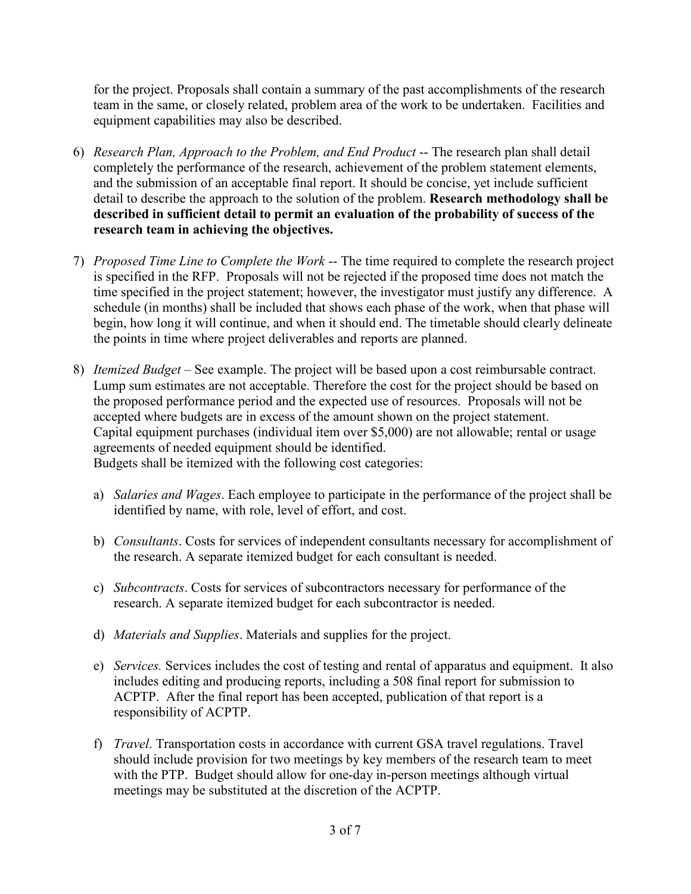for the project. Proposals shall contain a summary of the past accomplishments of the research team in the same, or closely related, problem area of the work to be undertaken. Facilities and equipment capabilities may also be described.

- 6) *Research Plan, Approach to the Problem, and End Product* -- The research plan shall detail completely the performance of the research, achievement of the problem statement elements, and the submission of an acceptable final report. It should be concise, yet include sufficient detail to describe the approach to the solution of the problem. **Research methodology shall be described in sufficient detail to permit an evaluation of the probability of success of the research team in achieving the objectives.**
- 7) *Proposed Time Line to Complete the Work* -- The time required to complete the research project is specified in the RFP. Proposals will not be rejected if the proposed time does not match the time specified in the project statement; however, the investigator must justify any difference. A schedule (in months) shall be included that shows each phase of the work, when that phase will begin, how long it will continue, and when it should end. The timetable should clearly delineate the points in time where project deliverables and reports are planned.
- 8) *Itemized Budget* See example. The project will be based upon a cost reimbursable contract. Lump sum estimates are not acceptable. Therefore the cost for the project should be based on the proposed performance period and the expected use of resources. Proposals will not be accepted where budgets are in excess of the amount shown on the project statement. Capital equipment purchases (individual item over \$5,000) are not allowable; rental or usage agreements of needed equipment should be identified.

Budgets shall be itemized with the following cost categories:

- a) *Salaries and Wages*. Each employee to participate in the performance of the project shall be identified by name, with role, level of effort, and cost.
- b) *Consultants*. Costs for services of independent consultants necessary for accomplishment of the research. A separate itemized budget for each consultant is needed.
- c) *Subcontracts*. Costs for services of subcontractors necessary for performance of the research. A separate itemized budget for each subcontractor is needed.
- d) *Materials and Supplies*. Materials and supplies for the project.
- e) *Services.* Services includes the cost of testing and rental of apparatus and equipment. It also includes editing and producing reports, including a 508 final report for submission to ACPTP. After the final report has been accepted, publication of that report is a responsibility of ACPTP.
- f) *Travel*. Transportation costs in accordance with current GSA travel regulations. Travel should include provision for two meetings by key members of the research team to meet with the PTP. Budget should allow for one-day in-person meetings although virtual meetings may be substituted at the discretion of the ACPTP.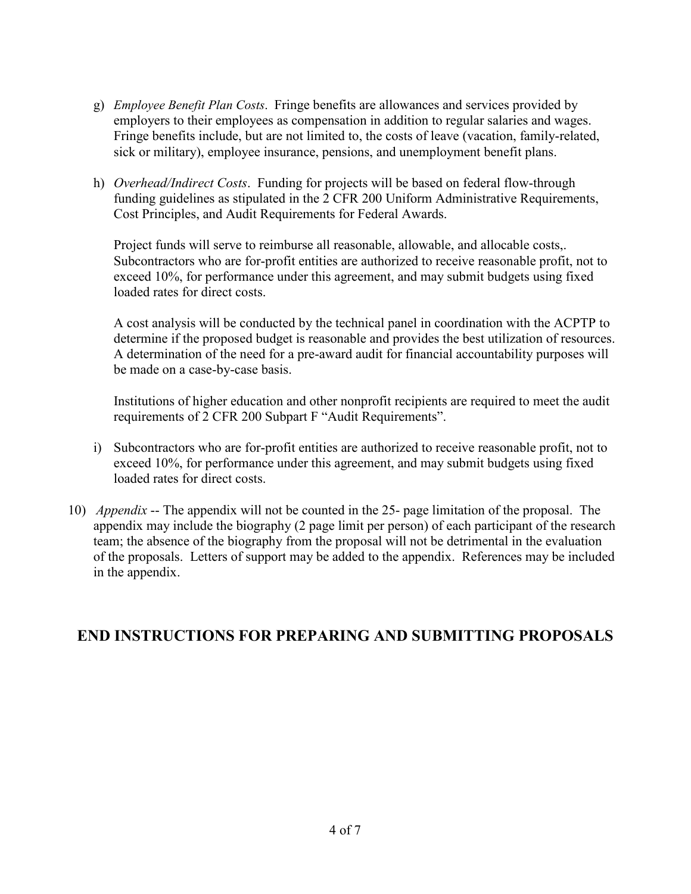- g) *Employee Benefit Plan Costs*. Fringe benefits are allowances and services provided by employers to their employees as compensation in addition to regular salaries and wages. Fringe benefits include, but are not limited to, the costs of leave (vacation, family-related, sick or military), employee insurance, pensions, and unemployment benefit plans.
- h) *Overhead/Indirect Costs*. Funding for projects will be based on federal flow-through funding guidelines as stipulated in the 2 CFR 200 Uniform Administrative Requirements, Cost Principles, and Audit Requirements for Federal Awards.

Project funds will serve to reimburse all reasonable, allowable, and allocable costs,. Subcontractors who are for-profit entities are authorized to receive reasonable profit, not to exceed 10%, for performance under this agreement, and may submit budgets using fixed loaded rates for direct costs.

A cost analysis will be conducted by the technical panel in coordination with the ACPTP to determine if the proposed budget is reasonable and provides the best utilization of resources. A determination of the need for a pre-award audit for financial accountability purposes will be made on a case-by-case basis.

Institutions of higher education and other nonprofit recipients are required to meet the audit requirements of 2 CFR 200 Subpart F "Audit Requirements".

- i) Subcontractors who are for-profit entities are authorized to receive reasonable profit, not to exceed 10%, for performance under this agreement, and may submit budgets using fixed loaded rates for direct costs.
- 10) *Appendix* -- The appendix will not be counted in the 25- page limitation of the proposal. The appendix may include the biography (2 page limit per person) of each participant of the research team; the absence of the biography from the proposal will not be detrimental in the evaluation of the proposals. Letters of support may be added to the appendix. References may be included in the appendix.

#### **END INSTRUCTIONS FOR PREPARING AND SUBMITTING PROPOSALS**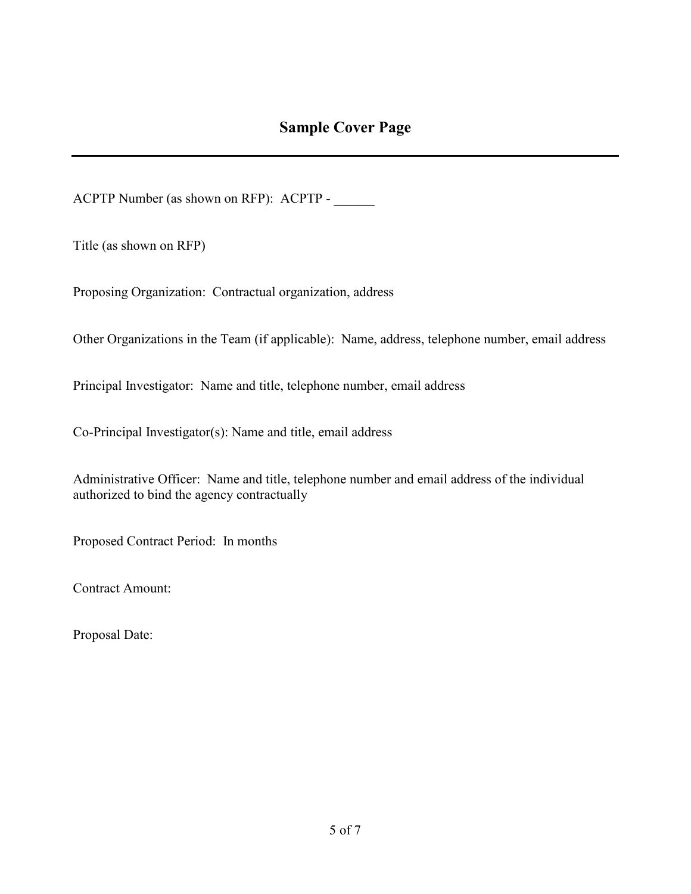ACPTP Number (as shown on RFP): ACPTP -

Title (as shown on RFP)

Proposing Organization: Contractual organization, address

Other Organizations in the Team (if applicable): Name, address, telephone number, email address

Principal Investigator: Name and title, telephone number, email address

Co-Principal Investigator(s): Name and title, email address

Administrative Officer: Name and title, telephone number and email address of the individual authorized to bind the agency contractually

Proposed Contract Period: In months

Contract Amount:

Proposal Date: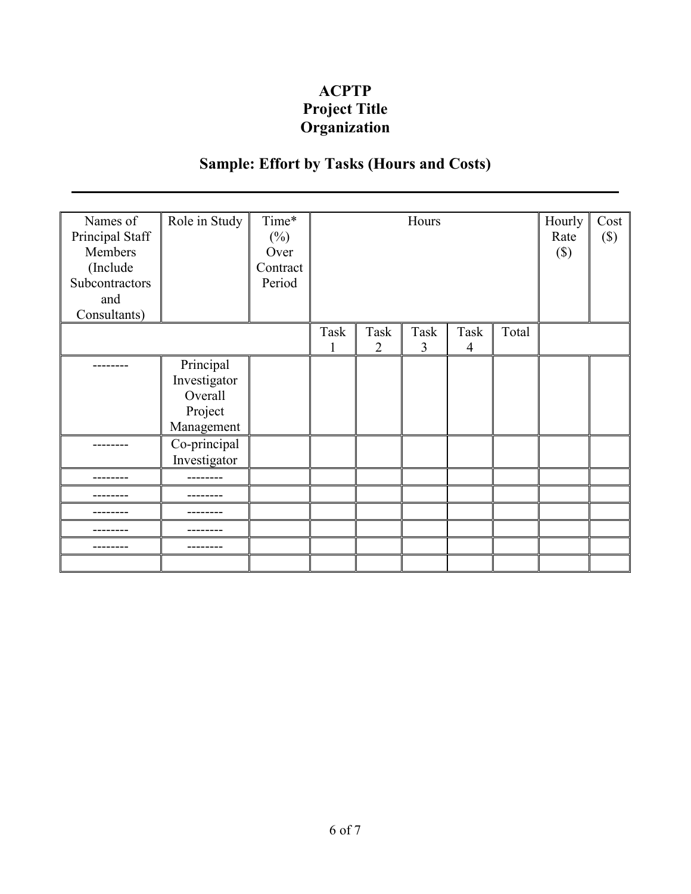### **ACPTP Project Title Organization**

# **Sample: Effort by Tasks (Hours and Costs)**

| Names of<br>Principal Staff<br>Members<br>(Include<br>Subcontractors<br>and<br>Consultants) | Role in Study                                                 | Time*<br>$(\%)$<br>Over<br>Contract<br>Period | Hours     |                        |           |                        |       | Hourly<br>Rate<br>$(\$)$ | Cost<br>$(\$\)$ |
|---------------------------------------------------------------------------------------------|---------------------------------------------------------------|-----------------------------------------------|-----------|------------------------|-----------|------------------------|-------|--------------------------|-----------------|
|                                                                                             |                                                               |                                               | Task<br>1 | Task<br>$\overline{2}$ | Task<br>3 | Task<br>$\overline{4}$ | Total |                          |                 |
|                                                                                             | Principal<br>Investigator<br>Overall<br>Project<br>Management |                                               |           |                        |           |                        |       |                          |                 |
|                                                                                             | Co-principal<br>Investigator                                  |                                               |           |                        |           |                        |       |                          |                 |
|                                                                                             |                                                               |                                               |           |                        |           |                        |       |                          |                 |
|                                                                                             |                                                               |                                               |           |                        |           |                        |       |                          |                 |
|                                                                                             |                                                               |                                               |           |                        |           |                        |       |                          |                 |
|                                                                                             |                                                               |                                               |           |                        |           |                        |       |                          |                 |
|                                                                                             |                                                               |                                               |           |                        |           |                        |       |                          |                 |
|                                                                                             |                                                               |                                               |           |                        |           |                        |       |                          |                 |